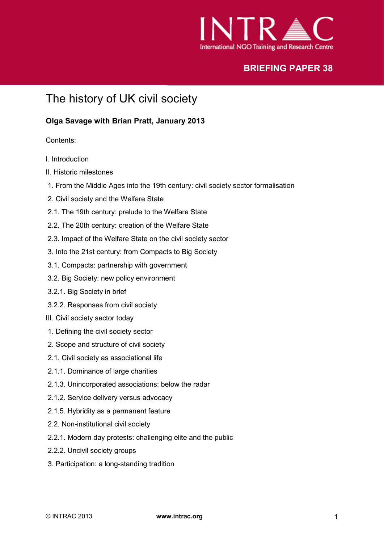

# **BRIEFING PAPER 38**

# The history of UK civil society

#### **Olga Savage with Brian Pratt, January 2013**

Contents:

- I. Introduction
- II. Historic milestones
- 1. From the Middle Ages into the 19th century: civil society sector formalisation
- 2. Civil society and the Welfare State
- 2.1. The 19th century: prelude to the Welfare State
- 2.2. The 20th century: creation of the Welfare State
- 2.3. Impact of the Welfare State on the civil society sector
- 3. Into the 21st century: from Compacts to Big Society
- 3.1. Compacts: partnership with government
- 3.2. Big Society: new policy environment
- 3.2.1. Big Society in brief
- 3.2.2. Responses from civil society
- III. Civil society sector today
- 1. Defining the civil society sector
- 2. Scope and structure of civil society
- 2.1. Civil society as associational life
- 2.1.1. Dominance of large charities
- 2.1.3. Unincorporated associations: below the radar
- 2.1.2. Service delivery versus advocacy
- 2.1.5. Hybridity as a permanent feature
- 2.2. Non-institutional civil society
- 2.2.1. Modern day protests: challenging elite and the public
- 2.2.2. Uncivil society groups
- 3. Participation: a long-standing tradition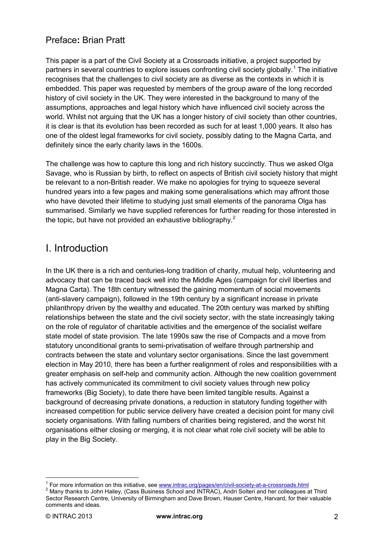# Preface**:** Brian Pratt

This paper is a part of the Civil Society at a Crossroads initiative, a project supported by partners in several countries to explore issues confronting civil society globally.<sup>[1](#page-16-0)</sup> The initiative recognises that the challenges to civil society are as diverse as the contexts in which it is embedded. This paper was requested by members of the group aware of the long recorded history of civil society in the UK. They were interested in the background to many of the assumptions, approaches and legal history which have influenced civil society across the world. Whilst not arguing that the UK has a longer history of civil society than other countries, it is clear is that its evolution has been recorded as such for at least 1,000 years. It also has one of the oldest legal frameworks for civil society, possibly dating to the Magna Carta, and definitely since the early charity laws in the 1600s.

The challenge was how to capture this long and rich history succinctly. Thus we asked Olga Savage, who is Russian by birth, to reflect on aspects of British civil society history that might be relevant to a non-British reader. We make no apologies for trying to squeeze several hundred years into a few pages and making some generalisations which may affront those who have devoted their lifetime to studying just small elements of the panorama Olga has summarised. Similarly we have supplied references for further reading for those interested in the topic, but have not provided an exhaustive bibliography.<sup>[2](#page-1-0)</sup>

# I. Introduction

In the UK there is a rich and centuries-long tradition of charity, mutual help, volunteering and advocacy that can be traced back well into the Middle Ages (campaign for civil liberties and Magna Carta). The 18th century witnessed the gaining momentum of social movements (anti-slavery campaign), followed in the 19th century by a significant increase in private philanthropy driven by the wealthy and educated. The 20th century was marked by shifting relationships between the state and the civil society sector, with the state increasingly taking on the role of regulator of charitable activities and the emergence of the socialist welfare state model of state provision. The late 1990s saw the rise of Compacts and a move from statutory unconditional grants to semi-privatisation of welfare through partnership and contracts between the state and voluntary sector organisations. Since the last government election in May 2010, there has been a further realignment of roles and responsibilities with a greater emphasis on self-help and community action. Although the new coalition government has actively communicated its commitment to civil society values through new policy frameworks (Big Society), to date there have been limited tangible results. Against a background of decreasing private donations, a reduction in statutory funding together with increased competition for public service delivery have created a decision point for many civil society organisations. With falling numbers of charities being registered, and the worst hit organisations either closing or merging, it is not clear what role civil society will be able to play in the Big Society.

<sup>&</sup>lt;sup>1</sup> For more information on this initiative, see [www.intrac.org/pages/en/civil-society-at-a-crossroads.html](http://www.intrac.org/pages/en/civil-society-at-a-crossroads.html)  $^2$  Many thanks to John Hailey, (Cass Business School and INTRAC), Andri Solteri and her colleagues at Third

<span id="page-1-1"></span><span id="page-1-0"></span>Sector Research Centre, University of Birmingham and Dave Brown, Hauser Centre, Harvard, for their valuable comments and ideas.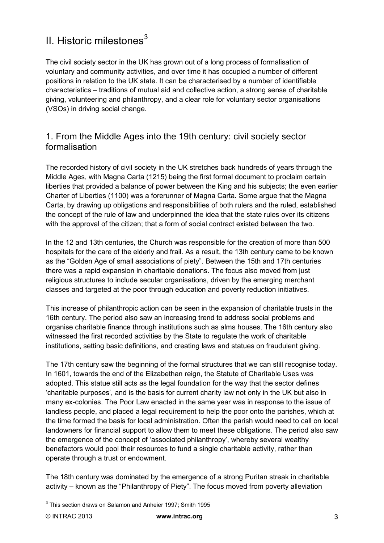# II. Historic milestones $3$

The civil society sector in the UK has grown out of a long process of formalisation of voluntary and community activities, and over time it has occupied a number of different positions in relation to the UK state. It can be characterised by a number of identifiable characteristics – traditions of mutual aid and collective action, a strong sense of charitable giving, volunteering and philanthropy, and a clear role for voluntary sector organisations (VSOs) in driving social change.

## 1. From the Middle Ages into the 19th century: civil society sector formalisation

The recorded history of civil society in the UK stretches back hundreds of years through the Middle Ages, with Magna Carta (1215) being the first formal document to proclaim certain liberties that provided a balance of power between the King and his subjects; the even earlier Charter of Liberties (1100) was a forerunner of Magna Carta. Some argue that the Magna Carta, by drawing up obligations and responsibilities of both rulers and the ruled, established the concept of the rule of law and underpinned the idea that the state rules over its citizens with the approval of the citizen; that a form of social contract existed between the two.

In the 12 and 13th centuries, the Church was responsible for the creation of more than 500 hospitals for the care of the elderly and frail. As a result, the 13th century came to be known as the "Golden Age of small associations of piety". Between the 15th and 17th centuries there was a rapid expansion in charitable donations. The focus also moved from just religious structures to include secular organisations, driven by the emerging merchant classes and targeted at the poor through education and poverty reduction initiatives.

This increase of philanthropic action can be seen in the expansion of charitable trusts in the 16th century. The period also saw an increasing trend to address social problems and organise charitable finance through institutions such as alms houses. The 16th century also witnessed the first recorded activities by the State to regulate the work of charitable institutions, setting basic definitions, and creating laws and statues on fraudulent giving.

The 17th century saw the beginning of the formal structures that we can still recognise today. In 1601, towards the end of the Elizabethan reign, the Statute of Charitable Uses was adopted. This statue still acts as the legal foundation for the way that the sector defines 'charitable purposes', and is the basis for current charity law not only in the UK but also in many ex-colonies. The Poor Law enacted in the same year was in response to the issue of landless people, and placed a legal requirement to help the poor onto the parishes, which at the time formed the basis for local administration. Often the parish would need to call on local landowners for financial support to allow them to meet these obligations. The period also saw the emergence of the concept of 'associated philanthropy', whereby several wealthy benefactors would pool their resources to fund a single charitable activity, rather than operate through a trust or endowment.

The 18th century was dominated by the emergence of a strong Puritan streak in charitable activity – known as the "Philanthropy of Piety". The focus moved from poverty alleviation

<span id="page-2-0"></span><sup>&</sup>lt;sup>3</sup> This section draws on Salamon and Anheier 1997; Smith 1995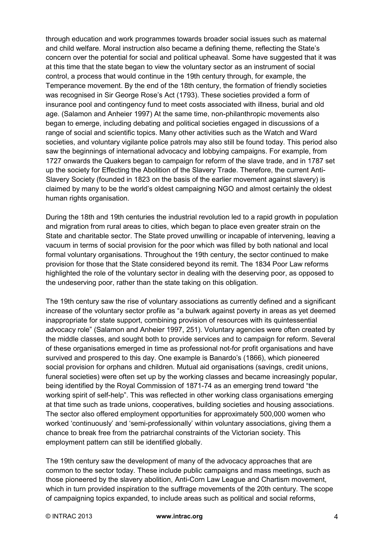through education and work programmes towards broader social issues such as maternal and child welfare. Moral instruction also became a defining theme, reflecting the State's concern over the potential for social and political upheaval. Some have suggested that it was at this time that the state began to view the voluntary sector as an instrument of social control, a process that would continue in the 19th century through, for example, the Temperance movement. By the end of the 18th century, the formation of friendly societies was recognised in Sir George Rose's Act (1793). These societies provided a form of insurance pool and contingency fund to meet costs associated with illness, burial and old age. (Salamon and Anheier 1997) At the same time, non-philanthropic movements also began to emerge, including debating and political societies engaged in discussions of a range of social and scientific topics. Many other activities such as the Watch and Ward societies, and voluntary vigilante police patrols may also still be found today. This period also saw the beginnings of international advocacy and lobbying campaigns. For example, from 1727 onwards the Quakers began to campaign for reform of the slave trade, and in 1787 set up the society for Effecting the Abolition of the Slavery Trade. Therefore, the current Anti-Slavery Society (founded in 1823 on the basis of the earlier movement against slavery) is claimed by many to be the world's oldest campaigning NGO and almost certainly the oldest human rights organisation.

During the 18th and 19th centuries the industrial revolution led to a rapid growth in population and migration from rural areas to cities, which began to place even greater strain on the State and charitable sector. The State proved unwilling or incapable of intervening, leaving a vacuum in terms of social provision for the poor which was filled by both national and local formal voluntary organisations. Throughout the 19th century, the sector continued to make provision for those that the State considered beyond its remit. The 1834 Poor Law reforms highlighted the role of the voluntary sector in dealing with the deserving poor, as opposed to the undeserving poor, rather than the state taking on this obligation.

The 19th century saw the rise of voluntary associations as currently defined and a significant increase of the voluntary sector profile as "a bulwark against poverty in areas as yet deemed inappropriate for state support, combining provision of resources with its quintessential advocacy role" (Salamon and Anheier 1997, 251). Voluntary agencies were often created by the middle classes, and sought both to provide services and to campaign for reform. Several of these organisations emerged in time as professional not-for profit organisations and have survived and prospered to this day. One example is Banardo's (1866), which pioneered social provision for orphans and children. Mutual aid organisations (savings, credit unions, funeral societies) were often set up by the working classes and became increasingly popular, being identified by the Royal Commission of 1871-74 as an emerging trend toward "the working spirit of self-help". This was reflected in other working class organisations emerging at that time such as trade unions, cooperatives, building societies and housing associations. The sector also offered employment opportunities for approximately 500,000 women who worked 'continuously' and 'semi-professionally' within voluntary associations, giving them a chance to break free from the patriarchal constraints of the Victorian society. This employment pattern can still be identified globally.

The 19th century saw the development of many of the advocacy approaches that are common to the sector today. These include public campaigns and mass meetings, such as those pioneered by the slavery abolition, Anti-Corn Law League and Chartism movement, which in turn provided inspiration to the suffrage movements of the 20th century. The scope of campaigning topics expanded, to include areas such as political and social reforms,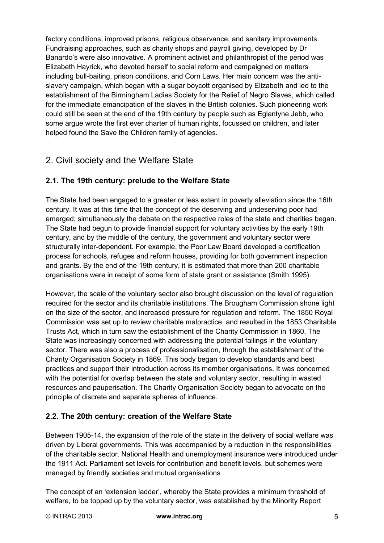factory conditions, improved prisons, religious observance, and sanitary improvements. Fundraising approaches, such as charity shops and payroll giving, developed by Dr Banardo's were also innovative. A prominent activist and philanthropist of the period was Elizabeth Hayrick, who devoted herself to social reform and campaigned on matters including bull-baiting, prison conditions, and Corn Laws. Her main concern was the antislavery campaign, which began with a sugar boycott organised by Elizabeth and led to the establishment of the Birmingham Ladies Society for the Relief of Negro Slaves, which called for the immediate emancipation of the slaves in the British colonies. Such pioneering work could still be seen at the end of the 19th century by people such as Eglantyne Jebb, who some argue wrote the first ever charter of human rights, focussed on children, and later helped found the Save the Children family of agencies.

## 2. Civil society and the Welfare State

### **2.1. The 19th century: prelude to the Welfare State**

The State had been engaged to a greater or less extent in poverty alleviation since the 16th century. It was at this time that the concept of the deserving and undeserving poor had emerged; simultaneously the debate on the respective roles of the state and charities began. The State had begun to provide financial support for voluntary activities by the early 19th century, and by the middle of the century, the government and voluntary sector were structurally inter-dependent. For example, the Poor Law Board developed a certification process for schools, refuges and reform houses, providing for both government inspection and grants. By the end of the 19th century, it is estimated that more than 200 charitable organisations were in receipt of some form of state grant or assistance (Smith 1995).

However, the scale of the voluntary sector also brought discussion on the level of regulation required for the sector and its charitable institutions. The Brougham Commission shone light on the size of the sector, and increased pressure for regulation and reform. The 1850 Royal Commission was set up to review charitable malpractice, and resulted in the 1853 Charitable Trusts Act, which in turn saw the establishment of the Charity Commission in 1860. The State was increasingly concerned with addressing the potential failings in the voluntary sector. There was also a process of professionalisation, through the establishment of the Charity Organisation Society in 1869. This body began to develop standards and best practices and support their introduction across its member organisations. It was concerned with the potential for overlap between the state and voluntary sector, resulting in wasted resources and pauperisation. The Charity Organisation Society began to advocate on the principle of discrete and separate spheres of influence.

### **2.2. The 20th century: creation of the Welfare State**

Between 1905-14, the expansion of the role of the state in the delivery of social welfare was driven by Liberal governments. This was accompanied by a reduction in the responsibilities of the charitable sector. National Health and unemployment insurance were introduced under the 1911 Act. Parliament set levels for contribution and benefit levels, but schemes were managed by friendly societies and mutual organisations

The concept of an 'extension ladder', whereby the State provides a minimum threshold of welfare, to be topped up by the voluntary sector, was established by the Minority Report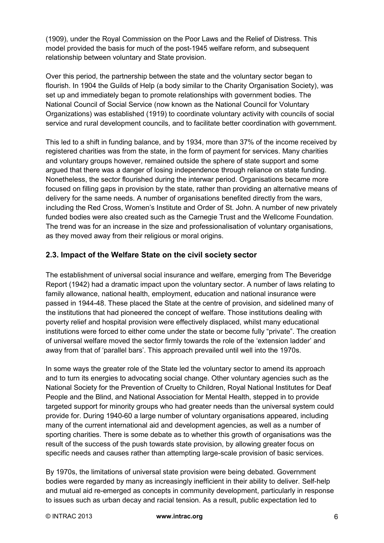(1909), under the Royal Commission on the Poor Laws and the Relief of Distress. This model provided the basis for much of the post-1945 welfare reform, and subsequent relationship between voluntary and State provision.

Over this period, the partnership between the state and the voluntary sector began to flourish. In 1904 the Guilds of Help (a body similar to the Charity Organisation Society), was set up and immediately began to promote relationships with government bodies. The National Council of Social Service (now known as the National Council for Voluntary Organizations) was established (1919) to coordinate voluntary activity with councils of social service and rural development councils, and to facilitate better coordination with government.

This led to a shift in funding balance, and by 1934, more than 37% of the income received by registered charities was from the state, in the form of payment for services. Many charities and voluntary groups however, remained outside the sphere of state support and some argued that there was a danger of losing independence through reliance on state funding. Nonetheless, the sector flourished during the interwar period. Organisations became more focused on filling gaps in provision by the state, rather than providing an alternative means of delivery for the same needs. A number of organisations benefited directly from the wars, including the Red Cross, Women's Institute and Order of St. John. A number of new privately funded bodies were also created such as the Carnegie Trust and the Wellcome Foundation. The trend was for an increase in the size and professionalisation of voluntary organisations, as they moved away from their religious or moral origins.

### **2.3. Impact of the Welfare State on the civil society sector**

The establishment of universal social insurance and welfare, emerging from The Beveridge Report (1942) had a dramatic impact upon the voluntary sector. A number of laws relating to family allowance, national health, employment, education and national insurance were passed in 1944-48. These placed the State at the centre of provision, and sidelined many of the institutions that had pioneered the concept of welfare. Those institutions dealing with poverty relief and hospital provision were effectively displaced, whilst many educational institutions were forced to either come under the state or become fully "private". The creation of universal welfare moved the sector firmly towards the role of the 'extension ladder' and away from that of 'parallel bars'. This approach prevailed until well into the 1970s.

In some ways the greater role of the State led the voluntary sector to amend its approach and to turn its energies to advocating social change. Other voluntary agencies such as the National Society for the Prevention of Cruelty to Children, Royal National Institutes for Deaf People and the Blind, and National Association for Mental Health, stepped in to provide targeted support for minority groups who had greater needs than the universal system could provide for. During 1940-60 a large number of voluntary organisations appeared, including many of the current international aid and development agencies, as well as a number of sporting charities. There is some debate as to whether this growth of organisations was the result of the success of the push towards state provision, by allowing greater focus on specific needs and causes rather than attempting large-scale provision of basic services.

By 1970s, the limitations of universal state provision were being debated. Government bodies were regarded by many as increasingly inefficient in their ability to deliver. Self-help and mutual aid re-emerged as concepts in community development, particularly in response to issues such as urban decay and racial tension. As a result, public expectation led to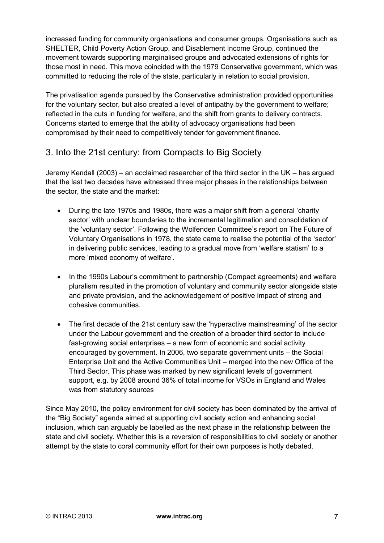increased funding for community organisations and consumer groups. Organisations such as SHELTER, Child Poverty Action Group, and Disablement Income Group, continued the movement towards supporting marginalised groups and advocated extensions of rights for those most in need. This move coincided with the 1979 Conservative government, which was committed to reducing the role of the state, particularly in relation to social provision.

The privatisation agenda pursued by the Conservative administration provided opportunities for the voluntary sector, but also created a level of antipathy by the government to welfare; reflected in the cuts in funding for welfare, and the shift from grants to delivery contracts. Concerns started to emerge that the ability of advocacy organisations had been compromised by their need to competitively tender for government finance.

## 3. Into the 21st century: from Compacts to Big Society

Jeremy Kendall (2003) – an acclaimed researcher of the third sector in the UK – has argued that the last two decades have witnessed three major phases in the relationships between the sector, the state and the market:

- During the late 1970s and 1980s, there was a major shift from a general 'charity sector' with unclear boundaries to the incremental legitimation and consolidation of the 'voluntary sector'. Following the Wolfenden Committee's report on The Future of Voluntary Organisations in 1978, the state came to realise the potential of the 'sector' in delivering public services, leading to a gradual move from 'welfare statism' to a more 'mixed economy of welfare'.
- In the 1990s Labour's commitment to partnership (Compact agreements) and welfare pluralism resulted in the promotion of voluntary and community sector alongside state and private provision, and the acknowledgement of positive impact of strong and cohesive communities.
- The first decade of the 21st century saw the 'hyperactive mainstreaming' of the sector under the Labour government and the creation of a broader third sector to include fast-growing social enterprises – a new form of economic and social activity encouraged by government. In 2006, two separate government units – the Social Enterprise Unit and the Active Communities Unit – merged into the new Office of the Third Sector. This phase was marked by new significant levels of government support, e.g. by 2008 around 36% of total income for VSOs in England and Wales was from statutory sources

Since May 2010, the policy environment for civil society has been dominated by the arrival of the "Big Society" agenda aimed at supporting civil society action and enhancing social inclusion, which can arguably be labelled as the next phase in the relationship between the state and civil society. Whether this is a reversion of responsibilities to civil society or another attempt by the state to coral community effort for their own purposes is hotly debated.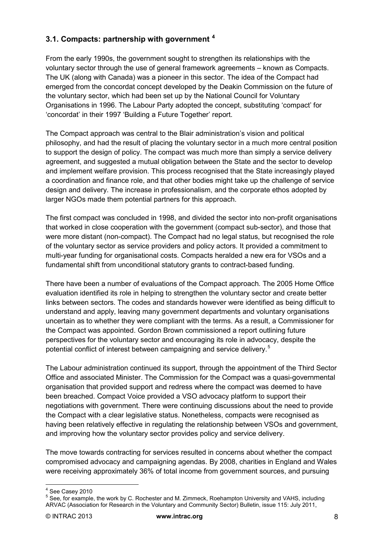### **3.1. Compacts: partnership with government [4](#page-2-0)**

From the early 1990s, the government sought to strengthen its relationships with the voluntary sector through the use of general framework agreements – known as Compacts. The UK (along with Canada) was a pioneer in this sector. The idea of the Compact had emerged from the concordat concept developed by the Deakin Commission on the future of the voluntary sector, which had been set up by the National Council for Voluntary Organisations in 1996. The Labour Party adopted the concept, substituting 'compact' for 'concordat' in their 1997 'Building a Future Together' report.

The Compact approach was central to the Blair administration's vision and political philosophy, and had the result of placing the voluntary sector in a much more central position to support the design of policy. The compact was much more than simply a service delivery agreement, and suggested a mutual obligation between the State and the sector to develop and implement welfare provision. This process recognised that the State increasingly played a coordination and finance role, and that other bodies might take up the challenge of service design and delivery. The increase in professionalism, and the corporate ethos adopted by larger NGOs made them potential partners for this approach.

The first compact was concluded in 1998, and divided the sector into non-profit organisations that worked in close cooperation with the government (compact sub-sector), and those that were more distant (non-compact). The Compact had no legal status, but recognised the role of the voluntary sector as service providers and policy actors. It provided a commitment to multi-year funding for organisational costs. Compacts heralded a new era for VSOs and a fundamental shift from unconditional statutory grants to contract-based funding.

There have been a number of evaluations of the Compact approach. The 2005 Home Office evaluation identified its role in helping to strengthen the voluntary sector and create better links between sectors. The codes and standards however were identified as being difficult to understand and apply, leaving many government departments and voluntary organisations uncertain as to whether they were compliant with the terms. As a result, a Commissioner for the Compact was appointed. Gordon Brown commissioned a report outlining future perspectives for the voluntary sector and encouraging its role in advocacy, despite the potential conflict of interest between campaigning and service delivery.[5](#page-7-0)

The Labour administration continued its support, through the appointment of the Third Sector Office and associated Minister. The Commission for the Compact was a quasi-governmental organisation that provided support and redress where the compact was deemed to have been breached. Compact Voice provided a VSO advocacy platform to support their negotiations with government. There were continuing discussions about the need to provide the Compact with a clear legislative status. Nonetheless, compacts were recognised as having been relatively effective in regulating the relationship between VSOs and government, and improving how the voluntary sector provides policy and service delivery.

The move towards contracting for services resulted in concerns about whether the compact compromised advocacy and campaigning agendas. By 2008, charities in England and Wales were receiving approximately 36% of total income from government sources, and pursuing

<span id="page-7-0"></span>

<span id="page-7-1"></span><sup>&</sup>lt;sup>4</sup> See Casey 2010<br><sup>5</sup> See, for example, the work by C. Rochester and M. Zimmeck, Roehampton University and VAHS, including ARVAC (Association for Research in the Voluntary and Community Sector) Bulletin, issue 115: July 2011,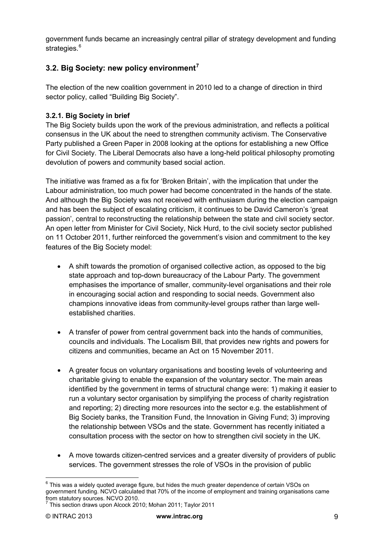government funds became an increasingly central pillar of strategy development and funding strategies.<sup>[6](#page-7-1)</sup>

### **3.2. Big Society: new policy environment[7](#page-8-0)**

The election of the new coalition government in 2010 led to a change of direction in third sector policy, called "Building Big Society".

### **3.2.1. Big Society in brief**

The Big Society builds upon the work of the previous administration, and reflects a political consensus in the UK about the need to strengthen community activism. The Conservative Party published a Green Paper in 2008 looking at the options for establishing a new Office for Civil Society. The Liberal Democrats also have a long-held political philosophy promoting devolution of powers and community based social action.

The initiative was framed as a fix for 'Broken Britain', with the implication that under the Labour administration, too much power had become concentrated in the hands of the state. And although the Big Society was not received with enthusiasm during the election campaign and has been the subject of escalating criticism, it continues to be David Cameron's 'great passion', central to reconstructing the relationship between the state and civil society sector. An open letter from Minister for Civil Society, Nick Hurd, to the civil society sector published on 11 October 2011, further reinforced the government's vision and commitment to the key features of the Big Society model:

- A shift towards the promotion of organised collective action, as opposed to the big state approach and top-down bureaucracy of the Labour Party. The government emphasises the importance of smaller, community-level organisations and their role in encouraging social action and responding to social needs. Government also champions innovative ideas from community-level groups rather than large wellestablished charities.
- A transfer of power from central government back into the hands of communities, councils and individuals. The Localism Bill, that provides new rights and powers for citizens and communities, became an Act on 15 November 2011.
- A greater focus on voluntary organisations and boosting levels of volunteering and charitable giving to enable the expansion of the voluntary sector. The main areas identified by the government in terms of structural change were: 1) making it easier to run a voluntary sector organisation by simplifying the process of charity registration and reporting; 2) directing more resources into the sector e.g. the establishment of Big Society banks, the Transition Fund, the Innovation in Giving Fund; 3) improving the relationship between VSOs and the state. Government has recently initiated a consultation process with the sector on how to strengthen civil society in the UK.
- A move towards citizen-centred services and a greater diversity of providers of public services. The government stresses the role of VSOs in the provision of public

 $6$  This was a widely quoted average figure, but hides the much greater dependence of certain VSOs on government funding. NCVO calculated that 70% of the income of employment and training organisations came

<span id="page-8-0"></span> $7$  This section draws upon Alcock 2010; Mohan 2011; Taylor 2011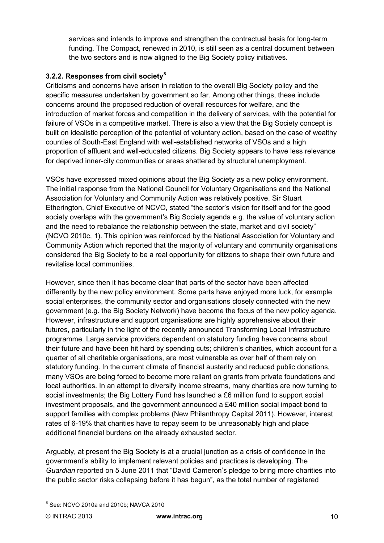services and intends to improve and strengthen the contractual basis for long-term funding. The Compact, renewed in 2010, is still seen as a central document between the two sectors and is now aligned to the Big Society policy initiatives.

### **3.2.2. Responses from civil society[8](#page-8-0)**

Criticisms and concerns have arisen in relation to the overall Big Society policy and the specific measures undertaken by government so far. Among other things, these include concerns around the proposed reduction of overall resources for welfare, and the introduction of market forces and competition in the delivery of services, with the potential for failure of VSOs in a competitive market. There is also a view that the Big Society concept is built on idealistic perception of the potential of voluntary action, based on the case of wealthy counties of South-East England with well-established networks of VSOs and a high proportion of affluent and well-educated citizens. Big Society appears to have less relevance for deprived inner-city communities or areas shattered by structural unemployment.

VSOs have expressed mixed opinions about the Big Society as a new policy environment. The initial response from the National Council for Voluntary Organisations and the National Association for Voluntary and Community Action was relatively positive. Sir Stuart Etherington, Chief Executive of NCVO, stated "the sector's vision for itself and for the good society overlaps with the government's Big Society agenda e.g. the value of voluntary action and the need to rebalance the relationship between the state, market and civil society" (NCVO 2010c, 1). This opinion was reinforced by the National Association for Voluntary and Community Action which reported that the majority of voluntary and community organisations considered the Big Society to be a real opportunity for citizens to shape their own future and revitalise local communities.

However, since then it has become clear that parts of the sector have been affected differently by the new policy environment. Some parts have enjoyed more luck, for example social enterprises, the community sector and organisations closely connected with the new government (e.g. the Big Society Network) have become the focus of the new policy agenda. However, infrastructure and support organisations are highly apprehensive about their futures, particularly in the light of the recently announced Transforming Local Infrastructure programme. Large service providers dependent on statutory funding have concerns about their future and have been hit hard by spending cuts; children's charities, which account for a quarter of all charitable organisations, are most vulnerable as over half of them rely on statutory funding. In the current climate of financial austerity and reduced public donations, many VSOs are being forced to become more reliant on grants from private foundations and local authorities. In an attempt to diversify income streams, many charities are now turning to social investments; the Big Lottery Fund has launched a £6 million fund to support social investment proposals, and the government announced a £40 million social impact bond to support families with complex problems (New Philanthropy Capital 2011). However, interest rates of 6-19% that charities have to repay seem to be unreasonably high and place additional financial burdens on the already exhausted sector.

Arguably, at present the Big Society is at a crucial junction as a crisis of confidence in the government's ability to implement relevant policies and practices is developing. The *Guardian* reported on 5 June 2011 that "David Cameron's pledge to bring more charities into the public sector risks collapsing before it has begun", as the total number of registered

<span id="page-9-0"></span><sup>8</sup> See: NCVO 2010a and 2010b; NAVCA 2010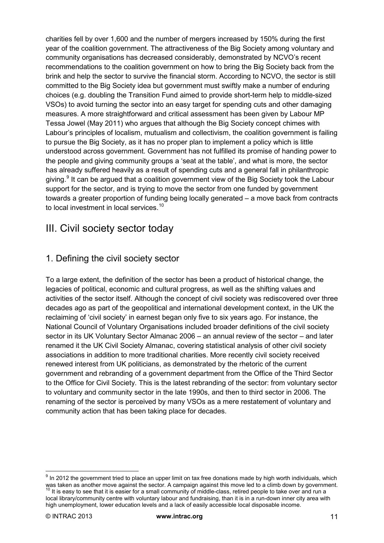charities fell by over 1,600 and the number of mergers increased by 150% during the first year of the coalition government. The attractiveness of the Big Society among voluntary and community organisations has decreased considerably, demonstrated by NCVO's recent recommendations to the coalition government on how to bring the Big Society back from the brink and help the sector to survive the financial storm. According to NCVO, the sector is still committed to the Big Society idea but government must swiftly make a number of enduring choices (e.g. doubling the Transition Fund aimed to provide short-term help to middle-sized VSOs) to avoid turning the sector into an easy target for spending cuts and other damaging measures. A more straightforward and critical assessment has been given by Labour MP Tessa Jowel (May 2011) who argues that although the Big Society concept chimes with Labour's principles of localism, mutualism and collectivism, the coalition government is failing to pursue the Big Society, as it has no proper plan to implement a policy which is little understood across government. Government has not fulfilled its promise of handing power to the people and giving community groups a 'seat at the table', and what is more, the sector has already suffered heavily as a result of spending cuts and a general fall in philanthropic giving.<sup>[9](#page-9-0)</sup> It can be argued that a coalition government view of the Big Society took the Labour support for the sector, and is trying to move the sector from one funded by government towards a greater proportion of funding being locally generated – a move back from contracts to local investment in local services.<sup>[10](#page-10-0)</sup>

# III. Civil society sector today

## 1. Defining the civil society sector

To a large extent, the definition of the sector has been a product of historical change, the legacies of political, economic and cultural progress, as well as the shifting values and activities of the sector itself. Although the concept of civil society was rediscovered over three decades ago as part of the geopolitical and international development context, in the UK the reclaiming of 'civil society' in earnest began only five to six years ago. For instance, the National Council of Voluntary Organisations included broader definitions of the civil society sector in its UK Voluntary Sector Almanac 2006 – an annual review of the sector – and later renamed it the UK Civil Society Almanac, covering statistical analysis of other civil society associations in addition to more traditional charities. More recently civil society received renewed interest from UK politicians, as demonstrated by the rhetoric of the current government and rebranding of a government department from the Office of the Third Sector to the Office for Civil Society. This is the latest rebranding of the sector: from voluntary sector to voluntary and community sector in the late 1990s, and then to third sector in 2006. The renaming of the sector is perceived by many VSOs as a mere restatement of voluntary and community action that has been taking place for decades.

<span id="page-10-1"></span><span id="page-10-0"></span> $9$  In 2012 the government tried to place an upper limit on tax free donations made by high worth individuals, which was taken as another move against the sector. A campaign against this move led to a climb down by government.<br><sup>10</sup> It is easy to see that it is easier for a small community of middle-class, retired people to take over and local library/community centre with voluntary labour and fundraising, than it is in a run-down inner city area with high unemployment, lower education levels and a lack of easily accessible local disposable income.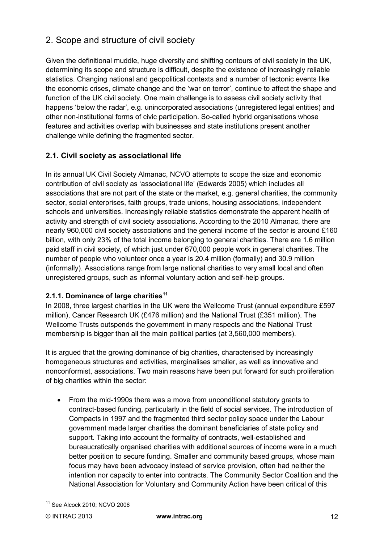# 2. Scope and structure of civil society

Given the definitional muddle, huge diversity and shifting contours of civil society in the UK, determining its scope and structure is difficult, despite the existence of increasingly reliable statistics. Changing national and geopolitical contexts and a number of tectonic events like the economic crises, climate change and the 'war on terror', continue to affect the shape and function of the UK civil society. One main challenge is to assess civil society activity that happens 'below the radar', e.g. unincorporated associations (unregistered legal entities) and other non-institutional forms of civic participation. So-called hybrid organisations whose features and activities overlap with businesses and state institutions present another challenge while defining the fragmented sector.

### **2.1. Civil society as associational life**

In its annual UK Civil Society Almanac, NCVO attempts to scope the size and economic contribution of civil society as 'associational life' (Edwards 2005) which includes all associations that are not part of the state or the market, e.g. general charities, the community sector, social enterprises, faith groups, trade unions, housing associations, independent schools and universities. Increasingly reliable statistics demonstrate the apparent health of activity and strength of civil society associations. According to the 2010 Almanac, there are nearly 960,000 civil society associations and the general income of the sector is around £160 billion, with only 23% of the total income belonging to general charities. There are 1.6 million paid staff in civil society, of which just under 670,000 people work in general charities. The number of people who volunteer once a year is 20.4 million (formally) and 30.9 million (informally). Associations range from large national charities to very small local and often unregistered groups, such as informal voluntary action and self-help groups.

### **2.1.1. Dominance of large charities[11](#page-10-1)**

In 2008, three largest charities in the UK were the Wellcome Trust (annual expenditure £597 million), Cancer Research UK (£476 million) and the National Trust (£351 million). The Wellcome Trusts outspends the government in many respects and the National Trust membership is bigger than all the main political parties (at 3,560,000 members).

It is argued that the growing dominance of big charities, characterised by increasingly homogeneous structures and activities, marginalises smaller, as well as innovative and nonconformist, associations. Two main reasons have been put forward for such proliferation of big charities within the sector:

• From the mid-1990s there was a move from unconditional statutory grants to contract-based funding, particularly in the field of social services. The introduction of Compacts in 1997 and the fragmented third sector policy space under the Labour government made larger charities the dominant beneficiaries of state policy and support. Taking into account the formality of contracts, well-established and bureaucratically organised charities with additional sources of income were in a much better position to secure funding. Smaller and community based groups, whose main focus may have been advocacy instead of service provision, often had neither the intention nor capacity to enter into contracts. The Community Sector Coalition and the National Association for Voluntary and Community Action have been critical of this

<span id="page-11-0"></span><sup>11</sup> See Alcock 2010; NCVO 2006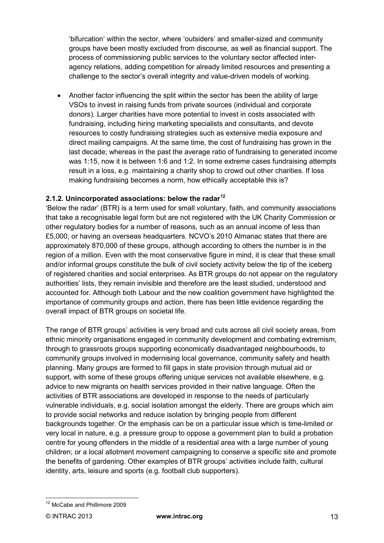'bifurcation' within the sector, where 'outsiders' and smaller-sized and community groups have been mostly excluded from discourse, as well as financial support. The process of commissioning public services to the voluntary sector affected interagency relations, adding competition for already limited resources and presenting a challenge to the sector's overall integrity and value-driven models of working.

• Another factor influencing the split within the sector has been the ability of large VSOs to invest in raising funds from private sources (individual and corporate donors). Larger charities have more potential to invest in costs associated with fundraising, including hiring marketing specialists and consultants, and devote resources to costly fundraising strategies such as extensive media exposure and direct mailing campaigns. At the same time, the cost of fundraising has grown in the last decade; whereas in the past the average ratio of fundraising to generated income was 1:15, now it is between 1:6 and 1:2. In some extreme cases fundraising attempts result in a loss, e.g. maintaining a charity shop to crowd out other charities. If loss making fundraising becomes a norm, how ethically acceptable this is?

#### **2.1.2. Unincorporated associations: below the radar[12](#page-11-0)**

'Below the radar' (BTR) is a term used for small voluntary, faith, and community associations that take a recognisable legal form but are not registered with the UK Charity Commission or other regulatory bodies for a number of reasons, such as an annual income of less than £5,000, or having an overseas headquarters. NCVO's 2010 Almanac states that there are approximately 870,000 of these groups, although according to others the number is in the region of a million. Even with the most conservative figure in mind, it is clear that these small and/or informal groups constitute the bulk of civil society activity below the tip of the iceberg of registered charities and social enterprises. As BTR groups do not appear on the regulatory authorities' lists, they remain invisible and therefore are the least studied, understood and accounted for. Although both Labour and the new coalition government have highlighted the importance of community groups and action, there has been little evidence regarding the overall impact of BTR groups on societal life.

The range of BTR groups' activities is very broad and cuts across all civil society areas, from ethnic minority organisations engaged in community development and combating extremism, through to grassroots groups supporting economically disadvantaged neighbourhoods, to community groups involved in modernising local governance, community safety and health planning. Many groups are formed to fill gaps in state provision through mutual aid or support, with some of these groups offering unique services not available elsewhere, e.g. advice to new migrants on health services provided in their native language. Often the activities of BTR associations are developed in response to the needs of particularly vulnerable individuals, e.g. social isolation amongst the elderly. There are groups which aim to provide social networks and reduce isolation by bringing people from different backgrounds together. Or the emphasis can be on a particular issue which is time-limited or very local in nature, e.g. a pressure group to oppose a government plan to build a probation centre for young offenders in the middle of a residential area with a large number of young children; or a local allotment movement campaigning to conserve a specific site and promote the benefits of gardening. Other examples of BTR groups' activities include faith, cultural identity, arts, leisure and sports (e.g. football club supporters).

<span id="page-12-0"></span><sup>12</sup> McCabe and Phillimore 2009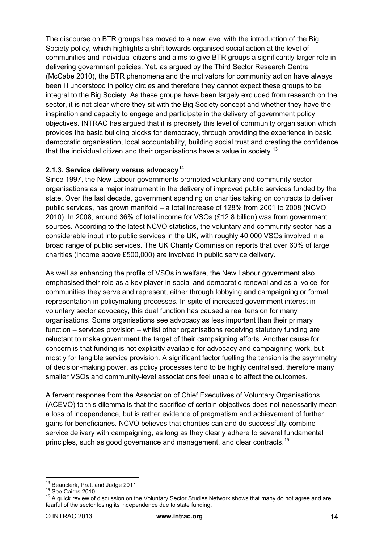The discourse on BTR groups has moved to a new level with the introduction of the Big Society policy, which highlights a shift towards organised social action at the level of communities and individual citizens and aims to give BTR groups a significantly larger role in delivering government policies. Yet, as argued by the Third Sector Research Centre (McCabe 2010), the BTR phenomena and the motivators for community action have always been ill understood in policy circles and therefore they cannot expect these groups to be integral to the Big Society. As these groups have been largely excluded from research on the sector, it is not clear where they sit with the Big Society concept and whether they have the inspiration and capacity to engage and participate in the delivery of government policy objectives. INTRAC has argued that it is precisely this level of community organisation which provides the basic building blocks for democracy, through providing the experience in basic democratic organisation, local accountability, building social trust and creating the confidence that the individual citizen and their organisations have a value in society.<sup>[13](#page-12-0)</sup>

#### **2.1.3. Service delivery versus advocacy[14](#page-13-0)**

Since 1997, the New Labour governments promoted voluntary and community sector organisations as a major instrument in the delivery of improved public services funded by the state. Over the last decade, government spending on charities taking on contracts to deliver public services, has grown manifold – a total increase of 128% from 2001 to 2008 (NCVO 2010). In 2008, around 36% of total income for VSOs (£12.8 billion) was from government sources. According to the latest NCVO statistics, the voluntary and community sector has a considerable input into public services in the UK, with roughly 40,000 VSOs involved in a broad range of public services. The UK Charity Commission reports that over 60% of large charities (income above £500,000) are involved in public service delivery.

As well as enhancing the profile of VSOs in welfare, the New Labour government also emphasised their role as a key player in social and democratic renewal and as a 'voice' for communities they serve and represent, either through lobbying and campaigning or formal representation in policymaking processes. In spite of increased government interest in voluntary sector advocacy, this dual function has caused a real tension for many organisations. Some organisations see advocacy as less important than their primary function – services provision – whilst other organisations receiving statutory funding are reluctant to make government the target of their campaigning efforts. Another cause for concern is that funding is not explicitly available for advocacy and campaigning work, but mostly for tangible service provision. A significant factor fuelling the tension is the asymmetry of decision-making power, as policy processes tend to be highly centralised, therefore many smaller VSOs and community-level associations feel unable to affect the outcomes.

A fervent response from the Association of Chief Executives of Voluntary Organisations (ACEVO) to this dilemma is that the sacrifice of certain objectives does not necessarily mean a loss of independence, but is rather evidence of pragmatism and achievement of further gains for beneficiaries. NCVO believes that charities can and do successfully combine service delivery with campaigning, as long as they clearly adhere to several fundamental principles, such as good governance and management, and clear contracts.<sup>[15](#page-13-1)</sup>

<span id="page-13-2"></span><span id="page-13-1"></span><span id="page-13-0"></span>

<sup>&</sup>lt;sup>13</sup> Beauclerk, Pratt and Judge 2011<br><sup>14</sup> See Cairns 2010<br><sup>15</sup> A quick review of discussion on the Voluntary Sector Studies Network shows that many do not agree and are fearful of the sector losing its independence due to state funding.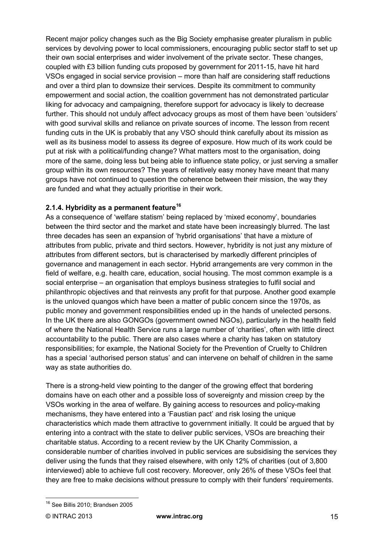Recent major policy changes such as the Big Society emphasise greater pluralism in public services by devolving power to local commissioners, encouraging public sector staff to set up their own social enterprises and wider involvement of the private sector. These changes, coupled with £3 billion funding cuts proposed by government for 2011-15, have hit hard VSOs engaged in social service provision – more than half are considering staff reductions and over a third plan to downsize their services. Despite its commitment to community empowerment and social action, the coalition government has not demonstrated particular liking for advocacy and campaigning, therefore support for advocacy is likely to decrease further. This should not unduly affect advocacy groups as most of them have been 'outsiders' with good survival skills and reliance on private sources of income. The lesson from recent funding cuts in the UK is probably that any VSO should think carefully about its mission as well as its business model to assess its degree of exposure. How much of its work could be put at risk with a political/funding change? What matters most to the organisation, doing more of the same, doing less but being able to influence state policy, or just serving a smaller group within its own resources? The years of relatively easy money have meant that many groups have not continued to question the coherence between their mission, the way they are funded and what they actually prioritise in their work.

#### **2.1.4. Hybridity as a permanent feature[16](#page-13-2)**

As a consequence of 'welfare statism' being replaced by 'mixed economy', boundaries between the third sector and the market and state have been increasingly blurred. The last three decades has seen an expansion of 'hybrid organisations' that have a mixture of attributes from public, private and third sectors. However, hybridity is not just any mixture of attributes from different sectors, but is characterised by markedly different principles of governance and management in each sector. Hybrid arrangements are very common in the field of welfare, e.g. health care, education, social housing. The most common example is a social enterprise – an organisation that employs business strategies to fulfil social and philanthropic objectives and that reinvests any profit for that purpose. Another good example is the unloved quangos which have been a matter of public concern since the 1970s, as public money and government responsibilities ended up in the hands of unelected persons. In the UK there are also GONGOs (government owned NGOs), particularly in the health field of where the National Health Service runs a large number of 'charities', often with little direct accountability to the public. There are also cases where a charity has taken on statutory responsibilities; for example, the National Society for the Prevention of Cruelty to Children has a special 'authorised person status' and can intervene on behalf of children in the same way as state authorities do.

There is a strong-held view pointing to the danger of the growing effect that bordering domains have on each other and a possible loss of sovereignty and mission creep by the VSOs working in the area of welfare. By gaining access to resources and policy-making mechanisms, they have entered into a 'Faustian pact' and risk losing the unique characteristics which made them attractive to government initially. It could be argued that by entering into a contract with the state to deliver public services, VSOs are breaching their charitable status. According to a recent review by the UK Charity Commission, a considerable number of charities involved in public services are subsidising the services they deliver using the funds that they raised elsewhere, with only 12% of charities (out of 3,800 interviewed) able to achieve full cost recovery. Moreover, only 26% of these VSOs feel that they are free to make decisions without pressure to comply with their funders' requirements.

<span id="page-14-0"></span><sup>&</sup>lt;sup>16</sup> See Billis 2010; Brandsen 2005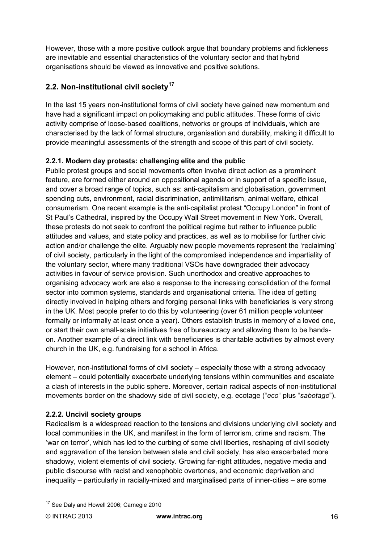However, those with a more positive outlook argue that boundary problems and fickleness are inevitable and essential characteristics of the voluntary sector and that hybrid organisations should be viewed as innovative and positive solutions.

## **2.2. Non-institutional civil society[17](#page-14-0)**

In the last 15 years non-institutional forms of civil society have gained new momentum and have had a significant impact on policymaking and public attitudes. These forms of civic activity comprise of loose-based coalitions, networks or groups of individuals, which are characterised by the lack of formal structure, organisation and durability, making it difficult to provide meaningful assessments of the strength and scope of this part of civil society.

### **2.2.1. Modern day protests: challenging elite and the public**

Public protest groups and social movements often involve direct action as a prominent feature, are formed either around an oppositional agenda or in support of a specific issue, and cover a broad range of topics, such as: anti-capitalism and globalisation, government spending cuts, environment, racial discrimination, antimilitarism, animal welfare, ethical consumerism. One recent example is the anti-capitalist protest "Occupy London" in front of St Paul's Cathedral, inspired by the Occupy Wall Street movement in New York. Overall, these protests do not seek to confront the political regime but rather to influence public attitudes and values, and state policy and practices, as well as to mobilise for further civic action and/or challenge the elite. Arguably new people movements represent the 'reclaiming' of civil society, particularly in the light of the compromised independence and impartiality of the voluntary sector, where many traditional VSOs have downgraded their advocacy activities in favour of service provision. Such unorthodox and creative approaches to organising advocacy work are also a response to the increasing consolidation of the formal sector into common systems, standards and organisational criteria. The idea of getting directly involved in helping others and forging personal links with beneficiaries is very strong in the UK. Most people prefer to do this by volunteering (over 61 million people volunteer formally or informally at least once a year). Others establish trusts in memory of a loved one, or start their own small-scale initiatives free of bureaucracy and allowing them to be handson. Another example of a direct link with beneficiaries is charitable activities by almost every church in the UK, e.g. fundraising for a school in Africa.

However, non-institutional forms of civil society – especially those with a strong advocacy element – could potentially exacerbate underlying tensions within communities and escalate a clash of interests in the public sphere. Moreover, certain radical aspects of non-institutional movements border on the shadowy side of civil society, e.g. ecotage ("*eco*" plus "*sabotage*").

### **2.2.2. Uncivil society groups**

Radicalism is a widespread reaction to the tensions and divisions underlying civil society and local communities in the UK, and manifest in the form of terrorism, crime and racism. The 'war on terror', which has led to the curbing of some civil liberties, reshaping of civil society and aggravation of the tension between state and civil society, has also exacerbated more shadowy, violent elements of civil society. Growing far-right attitudes, negative media and public discourse with racist and xenophobic overtones, and economic deprivation and inequality – particularly in racially-mixed and marginalised parts of inner-cities – are some

<sup>&</sup>lt;sup>17</sup> See Daly and Howell 2006; Carnegie 2010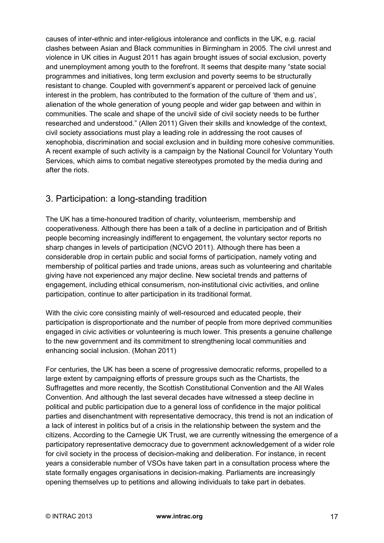causes of inter-ethnic and inter-religious intolerance and conflicts in the UK, e.g. racial clashes between Asian and Black communities in Birmingham in 2005. The civil unrest and violence in UK cities in August 2011 has again brought issues of social exclusion, poverty and unemployment among youth to the forefront. It seems that despite many "state social programmes and initiatives, long term exclusion and poverty seems to be structurally resistant to change. Coupled with government's apparent or perceived lack of genuine interest in the problem, has contributed to the formation of the culture of 'them and us', alienation of the whole generation of young people and wider gap between and within in communities. The scale and shape of the uncivil side of civil society needs to be further researched and understood." (Allen 2011) Given their skills and knowledge of the context, civil society associations must play a leading role in addressing the root causes of xenophobia, discrimination and social exclusion and in building more cohesive communities. A recent example of such activity is a campaign by the National Council for Voluntary Youth Services, which aims to combat negative stereotypes promoted by the media during and after the riots.

## 3. Participation: a long-standing tradition

The UK has a time-honoured tradition of charity, volunteerism, membership and cooperativeness. Although there has been a talk of a decline in participation and of British people becoming increasingly indifferent to engagement, the voluntary sector reports no sharp changes in levels of participation (NCVO 2011). Although there has been a considerable drop in certain public and social forms of participation, namely voting and membership of political parties and trade unions, areas such as volunteering and charitable giving have not experienced any major decline. New societal trends and patterns of engagement, including ethical consumerism, non-institutional civic activities, and online participation, continue to alter participation in its traditional format.

With the civic core consisting mainly of well-resourced and educated people, their participation is disproportionate and the number of people from more deprived communities engaged in civic activities or volunteering is much lower. This presents a genuine challenge to the new government and its commitment to strengthening local communities and enhancing social inclusion. (Mohan 2011)

<span id="page-16-0"></span>For centuries, the UK has been a scene of progressive democratic reforms, propelled to a large extent by campaigning efforts of pressure groups such as the Chartists, the Suffragettes and more recently, the Scottish Constitutional Convention and the All Wales Convention. And although the last several decades have witnessed a steep decline in political and public participation due to a general loss of confidence in the major political parties and disenchantment with representative democracy, this trend is not an indication of a lack of interest in politics but of a crisis in the relationship between the system and the citizens. According to the Carnegie UK Trust, we are currently witnessing the emergence of a participatory representative democracy due to government acknowledgement of a wider role for civil society in the process of decision-making and deliberation. For instance, in recent years a considerable number of VSOs have taken part in a consultation process where the state formally engages organisations in decision-making. Parliaments are increasingly opening themselves up to petitions and allowing individuals to take part in debates.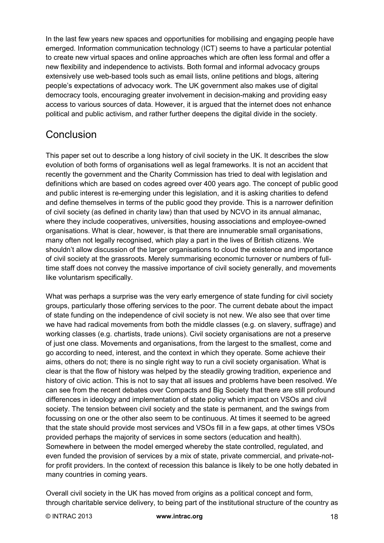In the last few years new spaces and opportunities for mobilising and engaging people have emerged. Information communication technology (ICT) seems to have a particular potential to create new virtual spaces and online approaches which are often less formal and offer a new flexibility and independence to activists. Both formal and informal advocacy groups extensively use web-based tools such as email lists, online petitions and blogs, altering people's expectations of advocacy work. The UK government also makes use of digital democracy tools, encouraging greater involvement in decision-making and providing easy access to various sources of data. However, it is argued that the internet does not enhance political and public activism, and rather further deepens the digital divide in the society.

# **Conclusion**

This paper set out to describe a long history of civil society in the UK. It describes the slow evolution of both forms of organisations well as legal frameworks. It is not an accident that recently the government and the Charity Commission has tried to deal with legislation and definitions which are based on codes agreed over 400 years ago. The concept of public good and public interest is re-emerging under this legislation, and it is asking charities to defend and define themselves in terms of the public good they provide. This is a narrower definition of civil society (as defined in charity law) than that used by NCVO in its annual almanac, where they include cooperatives, universities, housing associations and employee-owned organisations. What is clear, however, is that there are innumerable small organisations, many often not legally recognised, which play a part in the lives of British citizens. We shouldn't allow discussion of the larger organisations to cloud the existence and importance of civil society at the grassroots. Merely summarising economic turnover or numbers of fulltime staff does not convey the massive importance of civil society generally, and movements like voluntarism specifically.

What was perhaps a surprise was the very early emergence of state funding for civil society groups, particularly those offering services to the poor. The current debate about the impact of state funding on the independence of civil society is not new. We also see that over time we have had radical movements from both the middle classes (e.g. on slavery, suffrage) and working classes (e.g. chartists, trade unions). Civil society organisations are not a preserve of just one class. Movements and organisations, from the largest to the smallest, come and go according to need, interest, and the context in which they operate. Some achieve their aims, others do not; there is no single right way to run a civil society organisation. What is clear is that the flow of history was helped by the steadily growing tradition, experience and history of civic action. This is not to say that all issues and problems have been resolved. We can see from the recent debates over Compacts and Big Society that there are still profound differences in ideology and implementation of state policy which impact on VSOs and civil society. The tension between civil society and the state is permanent, and the swings from focussing on one or the other also seem to be continuous. At times it seemed to be agreed that the state should provide most services and VSOs fill in a few gaps, at other times VSOs provided perhaps the majority of services in some sectors (education and health). Somewhere in between the model emerged whereby the state controlled, regulated, and even funded the provision of services by a mix of state, private commercial, and private-notfor profit providers. In the context of recession this balance is likely to be one hotly debated in many countries in coming years.

Overall civil society in the UK has moved from origins as a political concept and form, through charitable service delivery, to being part of the institutional structure of the country as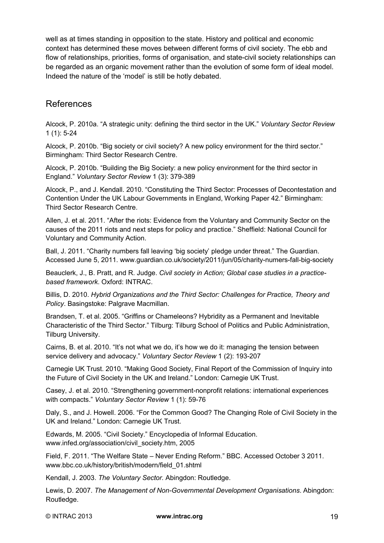well as at times standing in opposition to the state. History and political and economic context has determined these moves between different forms of civil society. The ebb and flow of relationships, priorities, forms of organisation, and state-civil society relationships can be regarded as an organic movement rather than the evolution of some form of ideal model. Indeed the nature of the 'model' is still be hotly debated.

### References

Alcock, P. 2010a. "A strategic unity: defining the third sector in the UK." *Voluntary Sector Review* 1 (1): 5-24

Alcock, P. 2010b. "Big society or civil society? A new policy environment for the third sector." Birmingham: Third Sector Research Centre.

Alcock, P. 2010b. "Building the Big Society: a new policy environment for the third sector in England." *Voluntary Sector Review* 1 (3): 379-389

Alcock, P., and J. Kendall. 2010. "Constituting the Third Sector: Processes of Decontestation and Contention Under the UK Labour Governments in England, Working Paper 42." Birmingham: Third Sector Research Centre.

Allen, J. et al. 2011. "After the riots: Evidence from the Voluntary and Community Sector on the causes of the 2011 riots and next steps for policy and practice." Sheffield: National Council for Voluntary and Community Action.

Ball, J. 2011. "Charity numbers fall leaving 'big society' pledge under threat." The Guardian. Accessed June 5, 2011. www.guardian.co.uk/society/2011/jun/05/charity-numers-fall-big-society

Beauclerk, J., B. Pratt, and R. Judge. *Civil society in Action; Global case studies in a practicebased framework*. Oxford: INTRAC.

Billis, D. 2010. *Hybrid Organizations and the Third Sector: Challenges for Practice, Theory and Policy*. Basingstoke: Palgrave Macmillan.

Brandsen, T. et al. 2005. "Griffins or Chameleons? Hybridity as a Permanent and Inevitable Characteristic of the Third Sector." Tilburg: Tilburg School of Politics and Public Administration, Tilburg University.

Cairns, B. et al. 2010. "It's not what we do, it's how we do it: managing the tension between service delivery and advocacy." *Voluntary Sector Review* 1 (2): 193-207

Carnegie UK Trust. 2010. "Making Good Society, Final Report of the Commission of Inquiry into the Future of Civil Society in the UK and Ireland." London: Carnegie UK Trust.

Casey, J. et al. 2010. "Strengthening government-nonprofit relations: international experiences with compacts." *Voluntary Sector Review* 1 (1): 59-76

Daly, S., and J. Howell. 2006. "For the Common Good? The Changing Role of Civil Society in the UK and Ireland." London: Carnegie UK Trust.

Edwards, M. 2005. "Civil Society." Encyclopedia of Informal Education. www.infed.org/association/civil\_society.htm, 2005

Field, F. 2011. "The Welfare State – Never Ending Reform." BBC. Accessed October 3 2011. www.bbc.co.uk/history/british/modern/field\_01.shtml

Kendall, J. 2003. *The Voluntary Sector.* Abingdon: Routledge.

Lewis, D. 2007. *The Management of Non-Governmental Development Organisations*. Abingdon: Routledge.